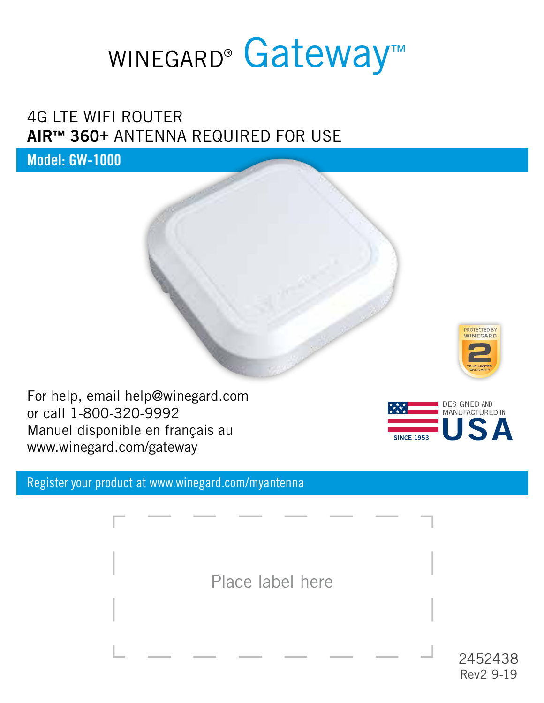# WINEGARD<sup>®</sup> Gateway<sup>™</sup>

# 4G LTE WIFI ROUTER **AIR™ 360+** ANTENNA REQUIRED FOR USE

**Model: GW-1000**



For help, email help@winegard.com or call 1-800-320-9992 Manuel disponible en français au www.winegard.com/gateway

Register your product at www.winegard.com/myantenna

Place label here



2452438 Rev2 9-19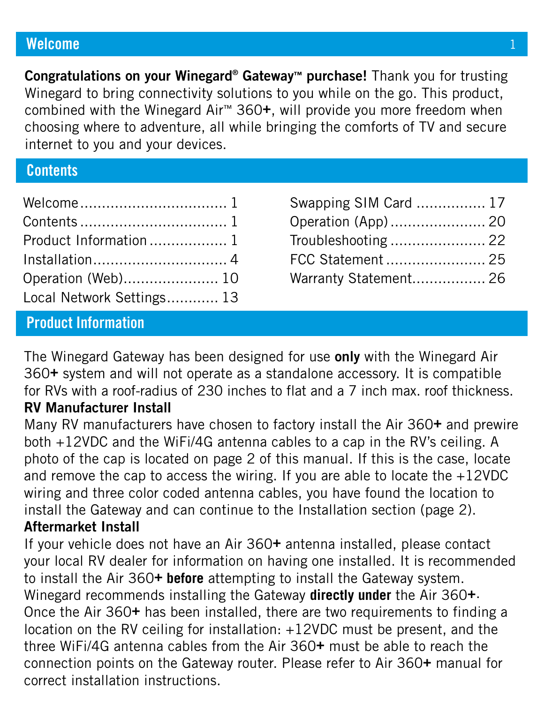### **Welcome**

**Congratulations on your Winegard® Gateway™ purchase!** Thank you for trusting Winegard to bring connectivity solutions to you while on the go. This product, combined with the Winegard Air™ 360**+**, will provide you more freedom when choosing where to adventure, all while bringing the comforts of TV and secure internet to you and your devices.

# **Contents**

| Product Information 1     |  |
|---------------------------|--|
|                           |  |
| Operation (Web) 10        |  |
| Local Network Settings 13 |  |

| Swapping SIM Card  17 |  |
|-----------------------|--|
|                       |  |
|                       |  |
| FCC Statement  25     |  |
| Warranty Statement 26 |  |

# **Product Information**

The Winegard Gateway has been designed for use **only** with the Winegard Air 360**+** system and will not operate as a standalone accessory. It is compatible for RVs with a roof-radius of 230 inches to flat and a 7 inch max. roof thickness.

## **RV Manufacturer Install**

Many RV manufacturers have chosen to factory install the Air 360**+** and prewire both +12VDC and the WiFi/4G antenna cables to a cap in the RV's ceiling. A photo of the cap is located on page 2 of this manual. If this is the case, locate and remove the cap to access the wiring. If you are able to locate the +12VDC wiring and three color coded antenna cables, you have found the location to install the Gateway and can continue to the Installation section (page 2).

# **Aftermarket Install**

If your vehicle does not have an Air 360**+** antenna installed, please contact your local RV dealer for information on having one installed. It is recommended to install the Air 360**+ before** attempting to install the Gateway system. Winegard recommends installing the Gateway **directly under** the Air 360**+**. Once the Air 360**+** has been installed, there are two requirements to finding a location on the RV ceiling for installation: +12VDC must be present, and the three WiFi/4G antenna cables from the Air 360**+** must be able to reach the connection points on the Gateway router. Please refer to Air 360**+** manual for correct installation instructions.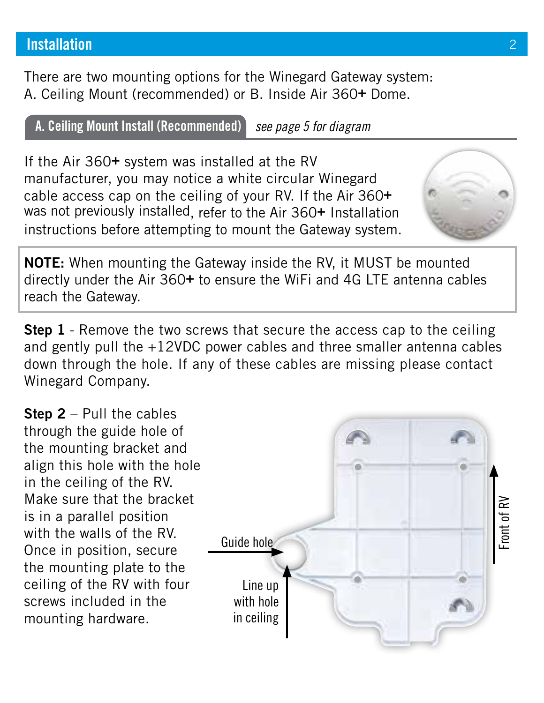There are two mounting options for the Winegard Gateway system: A. Ceiling Mount (recommended) or B. Inside Air 360**+** Dome.

**A. Ceiling Mount Install (Recommended)** *see page 5 for diagram*

If the Air 360**+** system was installed at the RV manufacturer, you may notice a white circular Winegard cable access cap on the ceiling of your RV. If the Air 360**+** was not previously installed, refer to the Air 360**+** Installation instructions before attempting to mount the Gateway system.

**NOTE:** When mounting the Gateway inside the RV, it MUST be mounted directly under the Air 360**+** to ensure the WiFi and 4G LTE antenna cables reach the Gateway.

**Step 1** - Remove the two screws that secure the access cap to the ceiling and gently pull the +12VDC power cables and three smaller antenna cables down through the hole. If any of these cables are missing please contact Winegard Company.

**Step 2** – Pull the cables through the guide hole of the mounting bracket and align this hole with the hole in the ceiling of the RV. Make sure that the bracket is in a parallel position with the walls of the RV. Once in position, secure the mounting plate to the ceiling of the RV with four screws included in the mounting hardware.



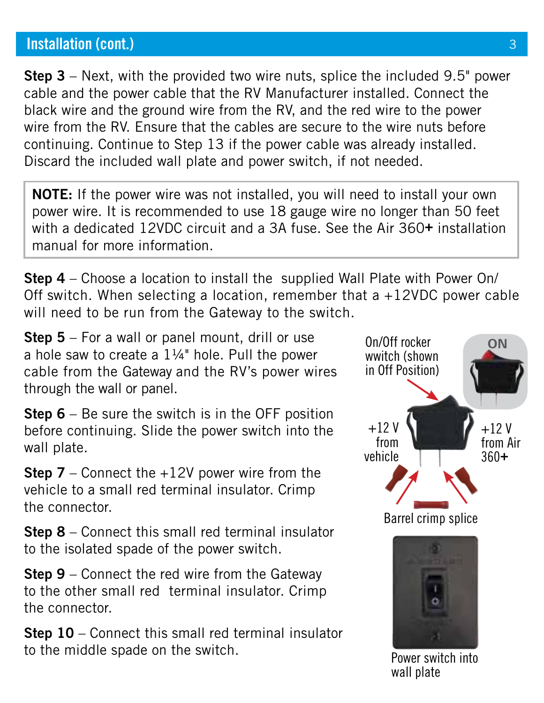**Step 3** – Next, with the provided two wire nuts, splice the included 9.5" power cable and the power cable that the RV Manufacturer installed. Connect the black wire and the ground wire from the RV, and the red wire to the power wire from the RV. Ensure that the cables are secure to the wire nuts before continuing. Continue to Step 13 if the power cable was already installed. Discard the included wall plate and power switch, if not needed.

**NOTE:** If the power wire was not installed, you will need to install your own power wire. It is recommended to use 18 gauge wire no longer than 50 feet with a dedicated 12VDC circuit and a 3A fuse. See the Air 360**+** installation manual for more information.

**Step 4** – Choose a location to install the supplied Wall Plate with Power On/ Off switch. When selecting a location, remember that  $a +12VDC$  power cable will need to be run from the Gateway to the switch.

**Step 5** – For a wall or panel mount, drill or use a hole saw to create a  $1\frac{1}{4}$ " hole. Pull the power cable from the Gateway and the RV's power wires through the wall or panel.

**Step 6** – Be sure the switch is in the OFF position before continuing. Slide the power switch into the wall plate.

**Step 7** – Connect the +12V power wire from the vehicle to a small red terminal insulator. Crimp the connector.

**Step 8** – Connect this small red terminal insulator to the isolated spade of the power switch.

**Step 9** – Connect the red wire from the Gateway to the other small red terminal insulator. Crimp the connector.

**Step 10** – Connect this small red terminal insulator to the middle spade on the switch.

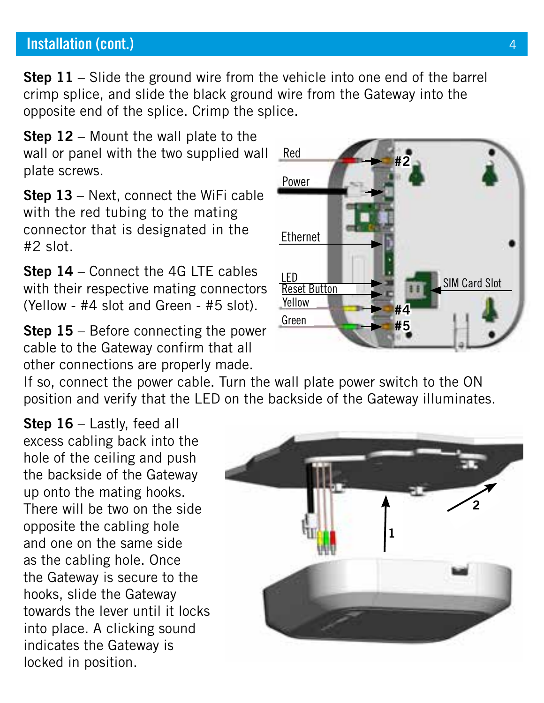**Step 11** – Slide the ground wire from the vehicle into one end of the barrel crimp splice, and slide the black ground wire from the Gateway into the opposite end of the splice. Crimp the splice.

**Step 12** – Mount the wall plate to the wall or panel with the two supplied wall Red plate screws.

**Step 13** – Next, connect the WiFi cable with the red tubing to the mating connector that is designated in the #2 slot.

**Step 14** – Connect the 4G LTE cables with their respective mating connectors (Yellow - #4 slot and Green - #5 slot).

**Step 15** – Before connecting the power cable to the Gateway confirm that all other connections are properly made.

If so, connect the power cable. Turn the wall plate power switch to the ON position and verify that the LED on the backside of the Gateway illuminates.

**Step 16** – Lastly, feed all excess cabling back into the hole of the ceiling and push the backside of the Gateway up onto the mating hooks. There will be two on the side opposite the cabling hole and one on the same side as the cabling hole. Once the Gateway is secure to the hooks, slide the Gateway towards the lever until it locks into place. A clicking sound indicates the Gateway is locked in position.



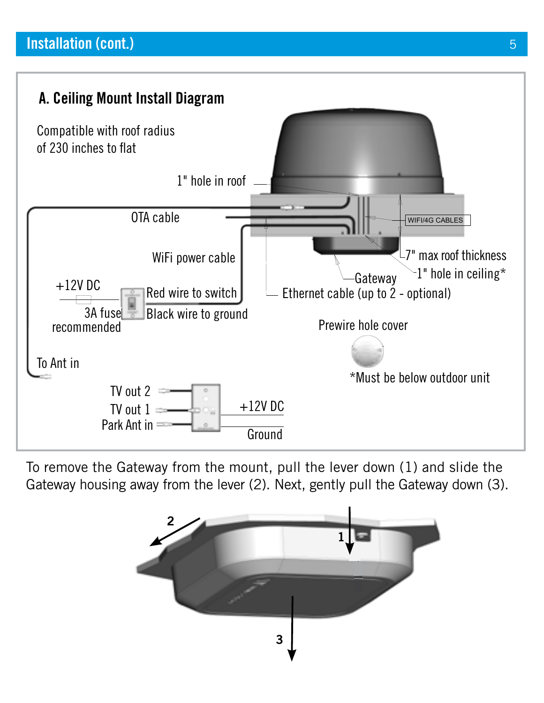

To remove the Gateway from the mount, pull the lever down (1) and slide the Gateway housing away from the lever (2). Next, gently pull the Gateway down (3).

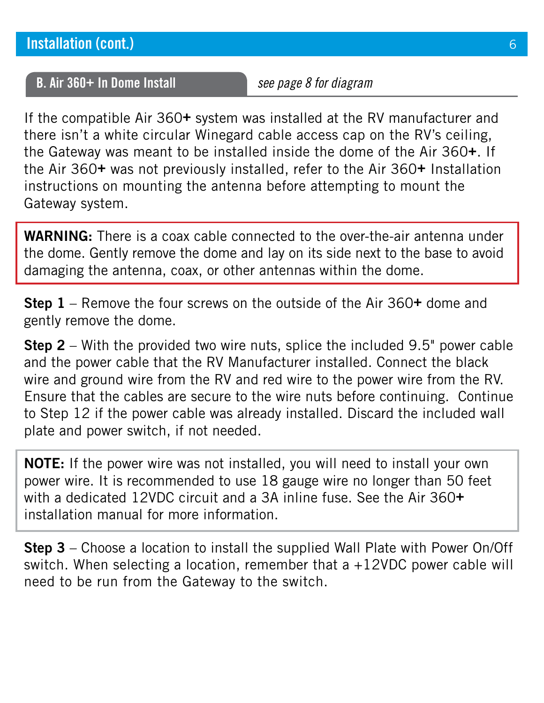## **B. Air 360+ In Dome Install** *see page 8 for diagram*

If the compatible Air 360**+** system was installed at the RV manufacturer and there isn't a white circular Winegard cable access cap on the RV's ceiling, the Gateway was meant to be installed inside the dome of the Air 360**+**. If the Air 360**+** was not previously installed, refer to the Air 360**+** Installation instructions on mounting the antenna before attempting to mount the Gateway system.

**WARNING:** There is a coax cable connected to the over-the-air antenna under the dome. Gently remove the dome and lay on its side next to the base to avoid damaging the antenna, coax, or other antennas within the dome.

**Step 1** – Remove the four screws on the outside of the Air 360**+** dome and gently remove the dome.

**Step 2** – With the provided two wire nuts, splice the included 9.5" power cable and the power cable that the RV Manufacturer installed. Connect the black wire and ground wire from the RV and red wire to the power wire from the RV. Ensure that the cables are secure to the wire nuts before continuing. Continue to Step 12 if the power cable was already installed. Discard the included wall plate and power switch, if not needed.

**NOTE:** If the power wire was not installed, you will need to install your own power wire. It is recommended to use 18 gauge wire no longer than 50 feet with a dedicated 12VDC circuit and a 3A inline fuse. See the Air 360**+** installation manual for more information.

**Step 3** – Choose a location to install the supplied Wall Plate with Power On/Off switch. When selecting a location, remember that  $a +12VDC$  power cable will need to be run from the Gateway to the switch.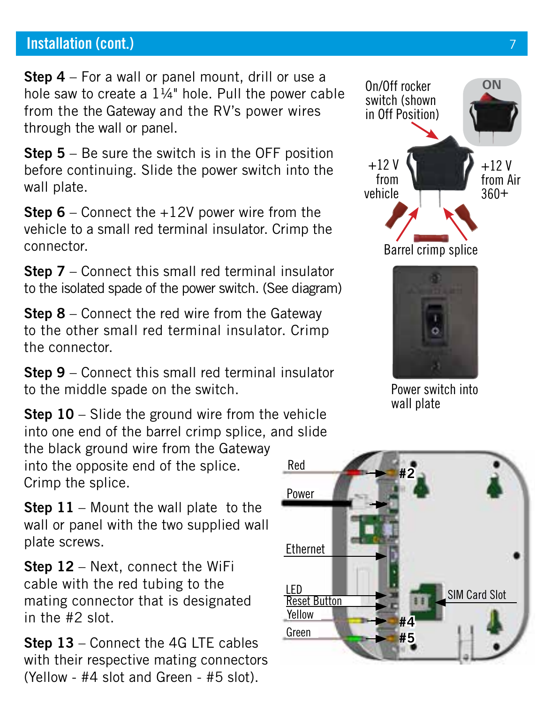**Step 4** – For a wall or panel mount, drill or use a hole saw to create a  $1\frac{1}{4}$ " hole. Pull the power cable from the the Gateway and the RV's power wires through the wall or panel.

**Step 5** – Be sure the switch is in the OFF position before continuing. Slide the power switch into the wall plate.

**Step 6** – Connect the +12V power wire from the vehicle to a small red terminal insulator. Crimp the connector.

**Step 7** – Connect this small red terminal insulator to the isolated spade of the power switch. (See diagram)

**Step 8** – Connect the red wire from the Gateway to the other small red terminal insulator. Crimp the connector.

**Step 9** – Connect this small red terminal insulator to the middle spade on the switch.

**Step 10** – Slide the ground wire from the vehicle into one end of the barrel crimp splice, and slide

the black ground wire from the Gateway into the opposite end of the splice. Crimp the splice.

**Step 11** – Mount the wall plate to the wall or panel with the two supplied wall plate screws.

**Step 12** – Next, connect the WiFi cable with the red tubing to the mating connector that is designated in the #2 slot.

**Step 13** – Connect the 4G LTE cables with their respective mating connectors (Yellow - #4 slot and Green - #5 slot).





Power switch into wall plate

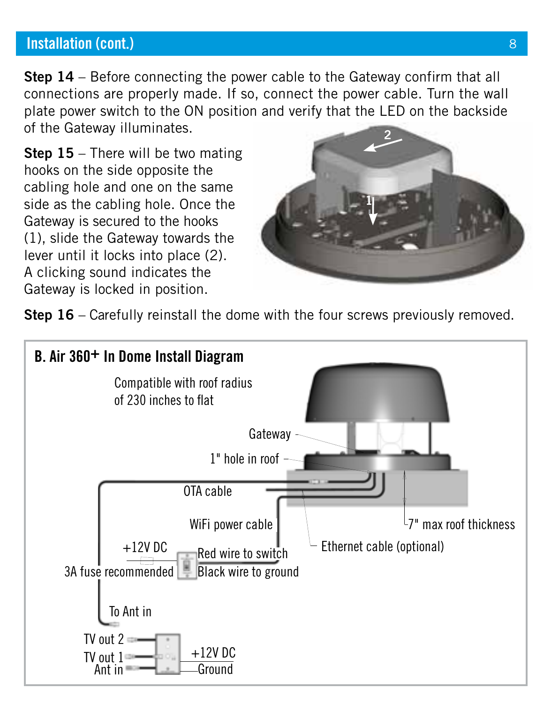**Step 14** – Before connecting the power cable to the Gateway confirm that all connections are properly made. If so, connect the power cable. Turn the wall plate power switch to the ON position and verify that the LED on the backside of the Gateway illuminates.

**Step 15** – There will be two mating hooks on the side opposite the cabling hole and one on the same side as the cabling hole. Once the Gateway is secured to the hooks (1), slide the Gateway towards the lever until it locks into place (2). A clicking sound indicates the Gateway is locked in position.



**Step 16** – Carefully reinstall the dome with the four screws previously removed.

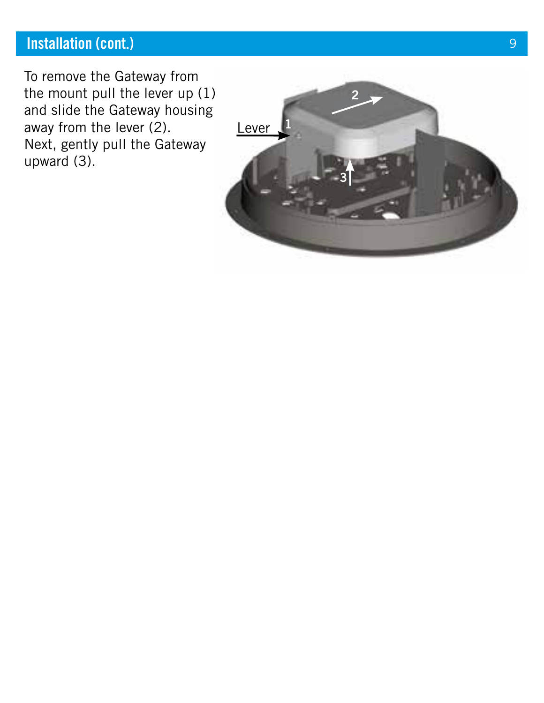To remove the Gateway from the mount pull the lever up (1) and slide the Gateway housing away from the lever (2). Next, gently pull the Gateway upward (3).

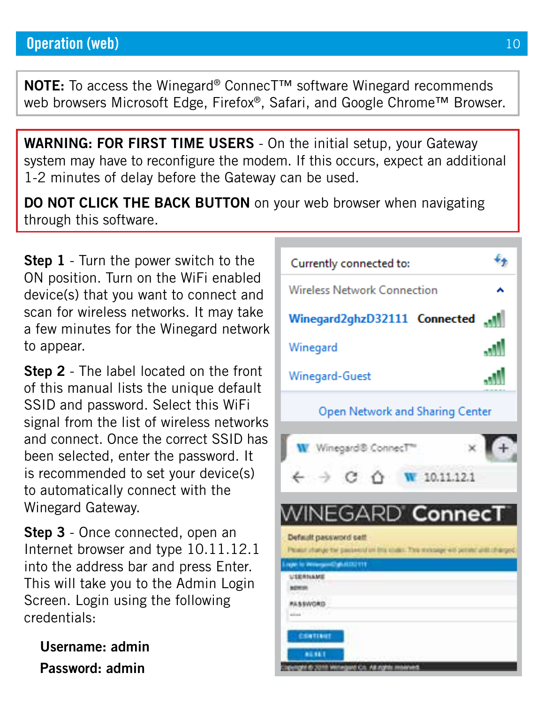**NOTE:** To access the Winegard® ConnecT™ software Winegard recommends web browsers Microsoft Edge, Firefox®, Safari, and Google Chrome™ Browser.

**WARNING: FOR FIRST TIME USERS** - On the initial setup, your Gateway system may have to reconfigure the modem. If this occurs, expect an additional 1-2 minutes of delay before the Gateway can be used.

**DO NOT CLICK THE BACK BUTTON** on your web browser when navigating through this software.

**Step 1** - Turn the power switch to the ON position. Turn on the WiFi enabled device(s) that you want to connect and scan for wireless networks. It may take a few minutes for the Winegard network to appear.

**Step 2** - The label located on the front of this manual lists the unique default SSID and password. Select this WiFi signal from the list of wireless networks and connect. Once the correct SSID has been selected, enter the password. It is recommended to set your device(s) to automatically connect with the Winegard Gateway.

**Step 3** - Once connected, open an Internet browser and type 10.11.12.1 into the address bar and press Enter. This will take you to the Admin Login Screen. Login using the following credentials:

**Username: admin Password: admin**

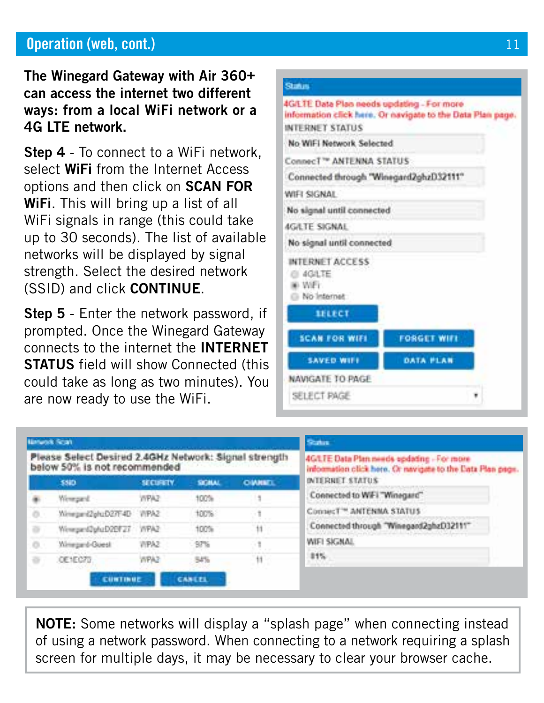# **Operation (web, cont.)** 21

**The Winegard Gateway with Air 360+ can access the internet two different ways: from a local WiFi network or a 4G LTE network.**

**Step 4** - To connect to a WiFi network, select **WiFi** from the Internet Access options and then click on **SCAN FOR WiFi**. This will bring up a list of all WiFi signals in range (this could take up to 30 seconds). The list of available networks will be displayed by signal strength. Select the desired network (SSID) and click **CONTINUE**.

**Step 5** - Enter the network password, if prompted. Once the Winegard Gateway connects to the internet the **INTERNET STATUS** field will show Connected (this could take as long as two minutes). You are now ready to use the WiFi.

#### Status

4G/LTE Data Plan needs updating - For more information click here. Or navigate to the Data Plan page. INTERNET STATUS No WIFI Network Selected Connect<sup>79</sup> ANTENNA STATUS Connected through "Winegard2ghzD32111" WIFI SIGNAL No signal until connected **AGRITE SIGNAL** No signal until connected INTERNET ACCESS @ 4GATE so WiFi No Internet **SELECT SCAN FOR WIFE FORGET WIFE SAVED WIFE** DATA PLAN NAVIGATE TO PAGE SELECT PAGE

| <b>Nintwork Scan</b>                                                                  |                        |                 |               | <b>Status</b>                                                                                            |                                        |
|---------------------------------------------------------------------------------------|------------------------|-----------------|---------------|----------------------------------------------------------------------------------------------------------|----------------------------------------|
| Please Select Desired 2.4GHz Network: Signal strength<br>below 50% is not recommended |                        |                 |               | 4G/LTE Data Plan needs opdating - For more<br>information click here. Or navigate to the Eats Plan page. |                                        |
|                                                                                       | 5580                   | <b>SECURETY</b> | SIGNAL        | <b>OWNEL</b>                                                                                             | <b>INTERNET STATUS</b>                 |
| ۰                                                                                     | Wewnerd.               | WPA2            | 100%          |                                                                                                          | Connected to WFI "Winequre"            |
| ö                                                                                     | Yümmam (ZahuDZ7F4D     | WPA2            | 100%          | 91.                                                                                                      | Connect <sup>**</sup> ANTENNA STATUS   |
| 咨                                                                                     | WinnsenSphzD2EF27 WPA2 |                 | 100%          | $11 -$                                                                                                   | Connected through "Winegard2ghzD32111" |
| o                                                                                     | Winnpard-Goest         | WPA2            | $-97%$        | - 1<br>.                                                                                                 | WIFI SIGNAL                            |
| ÷                                                                                     | OE1EC72                | WPA3            | 54%           | $11 -$<br>×                                                                                              | 11%                                    |
|                                                                                       | CUNTINUE               |                 | <b>CANLEL</b> |                                                                                                          |                                        |

**NOTE:** Some networks will display a "splash page" when connecting instead of using a network password. When connecting to a network requiring a splash screen for multiple days, it may be necessary to clear your browser cache.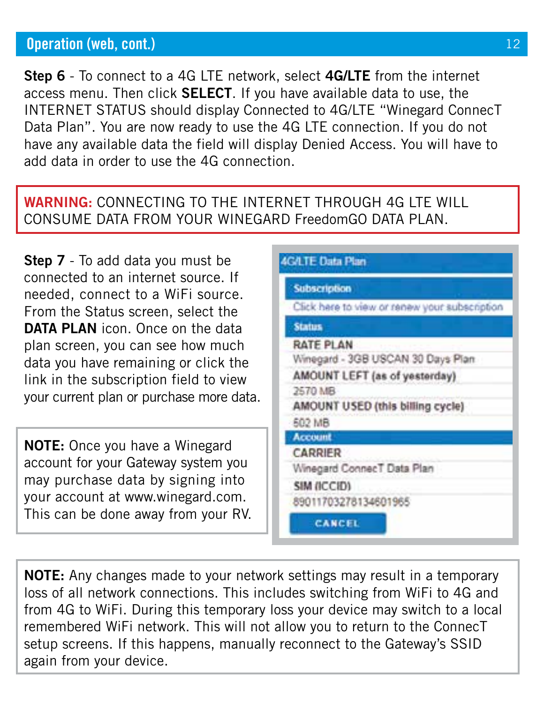# **Operation (web, cont.)** 12

**Step 6** - To connect to a 4G LTE network, select **4G/LTE** from the internet access menu. Then click **SELECT**. If you have available data to use, the INTERNET STATUS should display Connected to 4G/LTE "Winegard ConnecT Data Plan". You are now ready to use the 4G LTE connection. If you do not have any available data the field will display Denied Access. You will have to add data in order to use the 4G connection.

#### **WARNING:** CONNECTING TO THE INTERNET THROUGH 4G LTE WILL CONSUME DATA FROM YOUR WINEGARD FreedomGO DATA PLAN.

**Step 7** - To add data you must be connected to an internet source. If needed, connect to a WiFi source. From the Status screen, select the **DATA PLAN** icon. Once on the data plan screen, you can see how much data you have remaining or click the link in the subscription field to view your current plan or purchase more data.

**NOTE:** Once you have a Winegard account for your Gateway system you may purchase data by signing into your account at www.winegard.com. This can be done away from your RV.

| <b>Subscription</b>                           |
|-----------------------------------------------|
| Click here to view or renew your subscription |
| <b>Status</b>                                 |
| RATE PLAN                                     |
| Winegard - 3GB USCAN 30 Days Plan             |
| AMOUNT LEFT (as of yesterday)                 |
| 2570 MB                                       |
| AMOUNT USED (this billing cycle)              |
| 502 MB                                        |
| Account                                       |
| CARRIER                                       |
| Winegard ConnecT Data Plan                    |
| SIM (ICCID)                                   |
| 89011703278134601965                          |
| <b>CANCEL</b>                                 |

**NOTE:** Any changes made to your network settings may result in a temporary loss of all network connections. This includes switching from WiFi to 4G and from 4G to WiFi. During this temporary loss your device may switch to a local remembered WiFi network. This will not allow you to return to the ConnecT setup screens. If this happens, manually reconnect to the Gateway's SSID again from your device.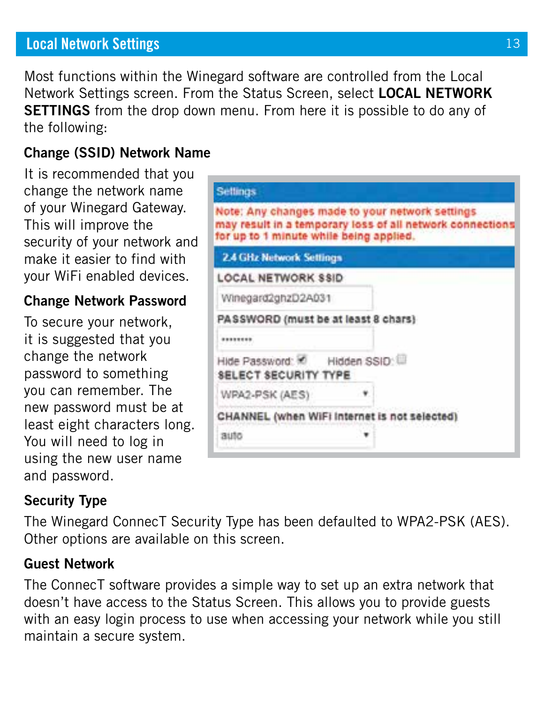# **Local Network Settings** 13

Most functions within the Winegard software are controlled from the Local Network Settings screen. From the Status Screen, select **LOCAL NETWORK SETTINGS** from the drop down menu. From here it is possible to do any of the following:

## **Change (SSID) Network Name**

It is recommended that you change the network name of your Winegard Gateway. This will improve the security of your network and make it easier to find with your WiFi enabled devices.

#### **Change Network Password**

To secure your network, it is suggested that you change the network password to something you can remember. The new password must be at least eight characters long. You will need to log in using the new user name and password.

| <b>Settings</b>                                         |                                                                                                              |
|---------------------------------------------------------|--------------------------------------------------------------------------------------------------------------|
| for up to 1 minute while being applied.                 | Note: Any changes made to your network settings<br>may result in a temporary loss of all network connections |
| 2.4 GHz Network Settings                                |                                                                                                              |
| LOCAL NETWORK SSID                                      |                                                                                                              |
| Winegard2ghzD2A031                                      |                                                                                                              |
| PASSWORD (must be at least 8 chars)                     |                                                                                                              |
| ********                                                |                                                                                                              |
| Hide Password: C Hidden SSID: U<br>SELECT SECURITY TYPE |                                                                                                              |
| WPA2-PSK (AES)                                          |                                                                                                              |
| CHANNEL (when WiFi Internet is not selected)            |                                                                                                              |
| auto                                                    |                                                                                                              |

# **Security Type**

The Winegard ConnecT Security Type has been defaulted to WPA2-PSK (AES). Other options are available on this screen.

#### **Guest Network**

The ConnecT software provides a simple way to set up an extra network that doesn't have access to the Status Screen. This allows you to provide guests with an easy login process to use when accessing your network while you still maintain a secure system.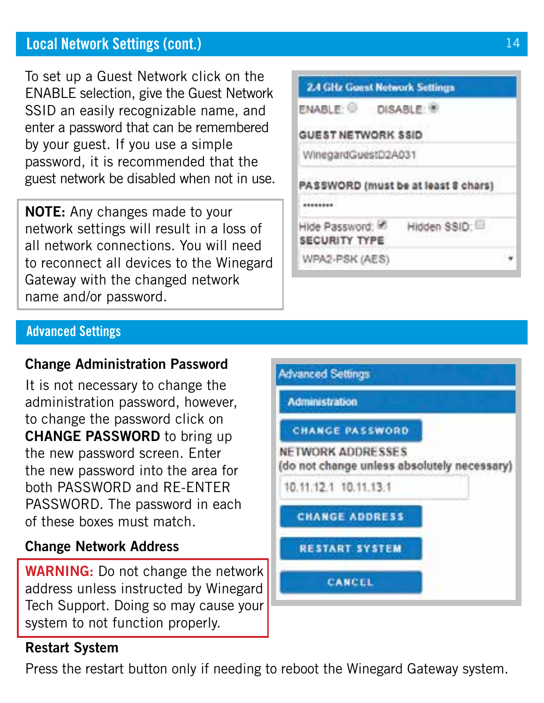# **Local Network Settings (cont.)**

To set up a Guest Network click on the ENABLE selection, give the Guest Network SSID an easily recognizable name, and enter a password that can be remembered by your guest. If you use a simple password, it is recommended that the guest network be disabled when not in use.

**NOTE:** Any changes made to your network settings will result in a loss of all network connections. You will need to reconnect all devices to the Winegard Gateway with the changed network name and/or password.

| <b>2.4 GHz Guest Network Settings</b>    |                                     |  |
|------------------------------------------|-------------------------------------|--|
| ENABLE: DISABLE: 9                       |                                     |  |
| GUEST NETWORK SSID                       |                                     |  |
| WinegardGuestD2A031                      |                                     |  |
|                                          | PASSWORD (must be at least 8 chars) |  |
| Hide Password: &<br><b>SECURITY TYPE</b> | Hidden SSID:                        |  |
| WPA2-PSK (AES)                           |                                     |  |

#### **Advanced Settings**

## **Change Administration Password**

It is not necessary to change the administration password, however, to change the password click on **CHANGE PASSWORD** to bring up the new password screen. Enter the new password into the area for both PASSWORD and RE-ENTER PASSWORD. The password in each of these boxes must match.

## **Change Network Address**

**WARNING:** Do not change the network address unless instructed by Winegard Tech Support. Doing so may cause your system to not function properly.

# **Restart System**

Press the restart button only if needing to reboot the Winegard Gateway system.

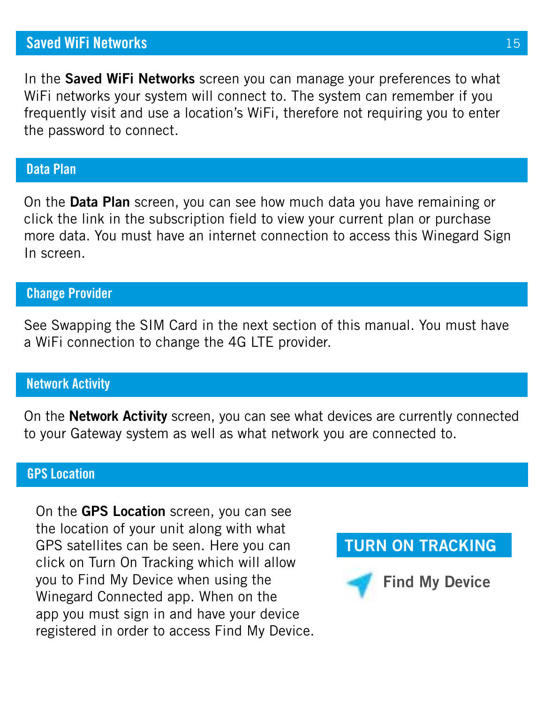# **Saved WiFi Networks**

In the **Saved WiFi Networks** screen you can manage your preferences to what WiFi networks your system will connect to. The system can remember if you frequently visit and use a location's WiFi, therefore not requiring you to enter the password to connect.

#### **Data Plan**

On the **Data Plan** screen, you can see how much data you have remaining or click the link in the subscription field to view your current plan or purchase more data. You must have an internet connection to access this Winegard Sign In screen.

#### **Change Provider**

See Swapping the SIM Card in the next section of this manual. You must have a WiFi connection to change the 4G LTE provider.

#### **Network Activity**

On the **Network Activity** screen, you can see what devices are currently connected to your Gateway system as well as what network you are connected to.

#### **GPS Location**

On the **GPS Location** screen, you can see the location of your unit along with what GPS satellites can be seen. Here you can click on Turn On Tracking which will allow you to Find My Device when using the Winegard Connected app. When on the app you must sign in and have your device registered in order to access Find My Device.

# **TURN ON TRACKING**

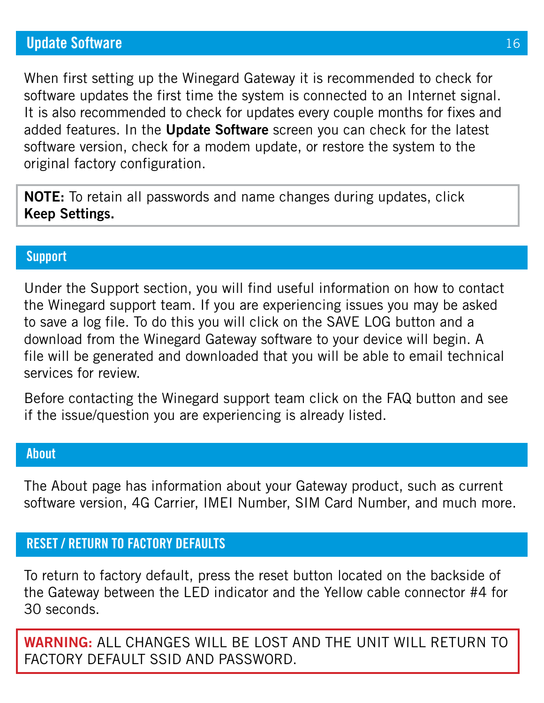# **Update Software**

When first setting up the Winegard Gateway it is recommended to check for software updates the first time the system is connected to an Internet signal. It is also recommended to check for updates every couple months for fixes and added features. In the **Update Software** screen you can check for the latest software version, check for a modem update, or restore the system to the original factory configuration.

**NOTE:** To retain all passwords and name changes during updates, click **Keep Settings.**

#### **Support**

Under the Support section, you will find useful information on how to contact the Winegard support team. If you are experiencing issues you may be asked to save a log file. To do this you will click on the SAVE LOG button and a download from the Winegard Gateway software to your device will begin. A file will be generated and downloaded that you will be able to email technical services for review.

Before contacting the Winegard support team click on the FAQ button and see if the issue/question you are experiencing is already listed.

#### **About**

The About page has information about your Gateway product, such as current software version, 4G Carrier, IMEI Number, SIM Card Number, and much more.

## **RESET / RETURN TO FACTORY DEFAULTS**

To return to factory default, press the reset button located on the backside of the Gateway between the LED indicator and the Yellow cable connector #4 for 30 seconds.

**WARNING:** ALL CHANGES WILL BE LOST AND THE UNIT WILL RETURN TO FACTORY DEFAULT SSID AND PASSWORD.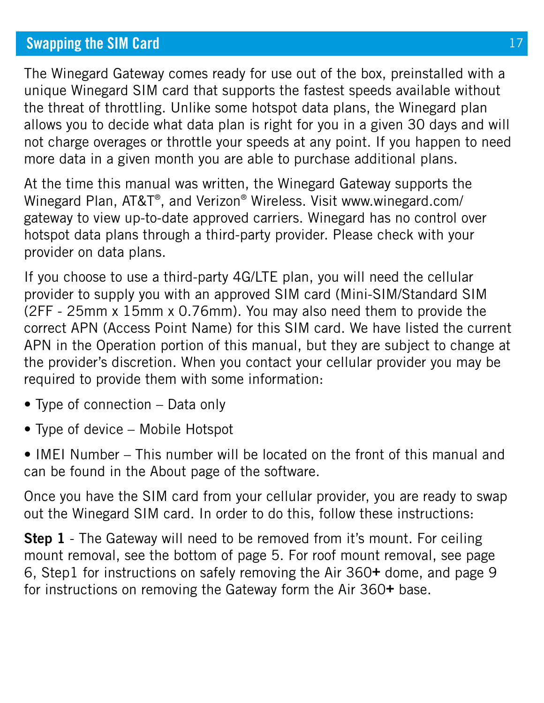# **Swapping the SIM Card**

The Winegard Gateway comes ready for use out of the box, preinstalled with a unique Winegard SIM card that supports the fastest speeds available without the threat of throttling. Unlike some hotspot data plans, the Winegard plan allows you to decide what data plan is right for you in a given 30 days and will not charge overages or throttle your speeds at any point. If you happen to need more data in a given month you are able to purchase additional plans.

At the time this manual was written, the Winegard Gateway supports the Winegard Plan, AT&T®, and Verizon® Wireless. Visit www.winegard.com/ gateway to view up-to-date approved carriers. Winegard has no control over hotspot data plans through a third-party provider. Please check with your provider on data plans.

If you choose to use a third-party 4G/LTE plan, you will need the cellular provider to supply you with an approved SIM card (Mini-SIM/Standard SIM (2FF - 25mm x 15mm x 0.76mm). You may also need them to provide the correct APN (Access Point Name) for this SIM card. We have listed the current APN in the Operation portion of this manual, but they are subject to change at the provider's discretion. When you contact your cellular provider you may be required to provide them with some information:

- Type of connection Data only
- Type of device Mobile Hotspot

• IMEI Number – This number will be located on the front of this manual and can be found in the About page of the software.

Once you have the SIM card from your cellular provider, you are ready to swap out the Winegard SIM card. In order to do this, follow these instructions:

**Step 1** - The Gateway will need to be removed from it's mount. For ceiling mount removal, see the bottom of page 5. For roof mount removal, see page 6, Step1 for instructions on safely removing the Air 360**+** dome, and page 9 for instructions on removing the Gateway form the Air 360**+** base.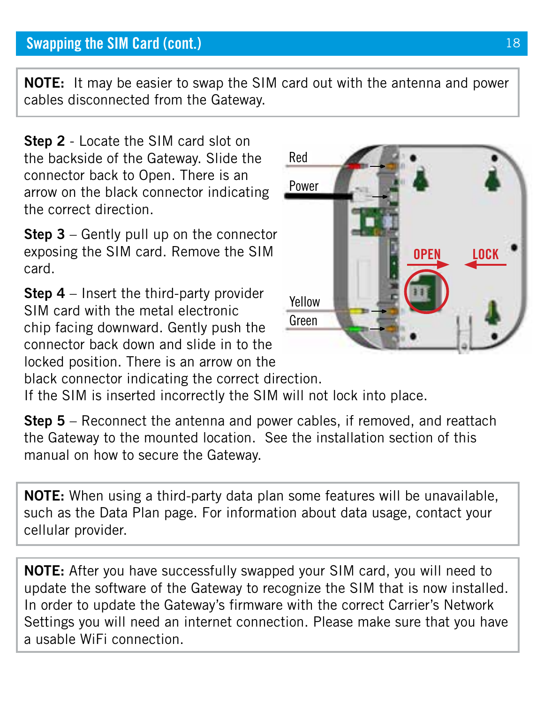# **Swapping the SIM Card (cont.)**

**NOTE:** It may be easier to swap the SIM card out with the antenna and power cables disconnected from the Gateway.

**Step 2** - Locate the SIM card slot on the backside of the Gateway. Slide the connector back to Open. There is an arrow on the black connector indicating the correct direction.

**Step 3** – Gently pull up on the connector exposing the SIM card. Remove the SIM card.

**Step 4** – Insert the third-party provider SIM card with the metal electronic chip facing downward. Gently push the connector back down and slide in to the locked position. There is an arrow on the



black connector indicating the correct direction.

If the SIM is inserted incorrectly the SIM will not lock into place.

**Step 5** – Reconnect the antenna and power cables, if removed, and reattach the Gateway to the mounted location. See the installation section of this manual on how to secure the Gateway.

**NOTE:** When using a third-party data plan some features will be unavailable, such as the Data Plan page. For information about data usage, contact your cellular provider.

**NOTE:** After you have successfully swapped your SIM card, you will need to update the software of the Gateway to recognize the SIM that is now installed. In order to update the Gateway's firmware with the correct Carrier's Network Settings you will need an internet connection. Please make sure that you have a usable WiFi connection.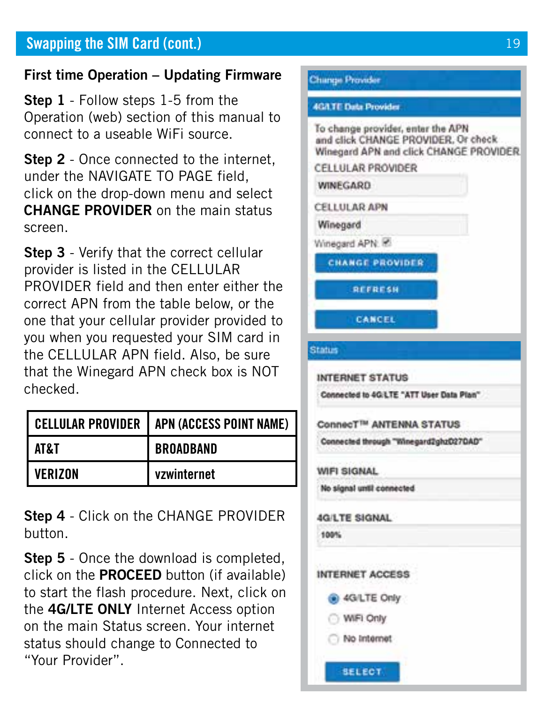# **Swapping the SIM Card (cont.)** 19

### **First time Operation – Updating Firmware**

**Step 1** - Follow steps 1-5 from the Operation (web) section of this manual to connect to a useable WiFi source.

**Step 2** - Once connected to the internet. under the NAVIGATE TO PAGE field, click on the drop-down menu and select **CHANGE PROVIDER** on the main status screen.

**Step 3** - Verify that the correct cellular provider is listed in the CELLULAR PROVIDER field and then enter either the correct APN from the table below, or the one that your cellular provider provided to you when you requested your SIM card in the CELLULAR APN field. Also, be sure that the Winegard APN check box is NOT checked.

|         | CELLULAR PROVIDER   APN (ACCESS POINT NAME) |
|---------|---------------------------------------------|
| AT& T   | <b>BROADBAND</b>                            |
| VERIZON | vzwinternet                                 |

**Step 4** - Click on the CHANGE PROVIDER button.

**Step 5** - Once the download is completed, click on the **PROCEED** button (if available) to start the flash procedure. Next, click on the **4G/LTE ONLY** Internet Access option on the main Status screen. Your internet status should change to Connected to "Your Provider".

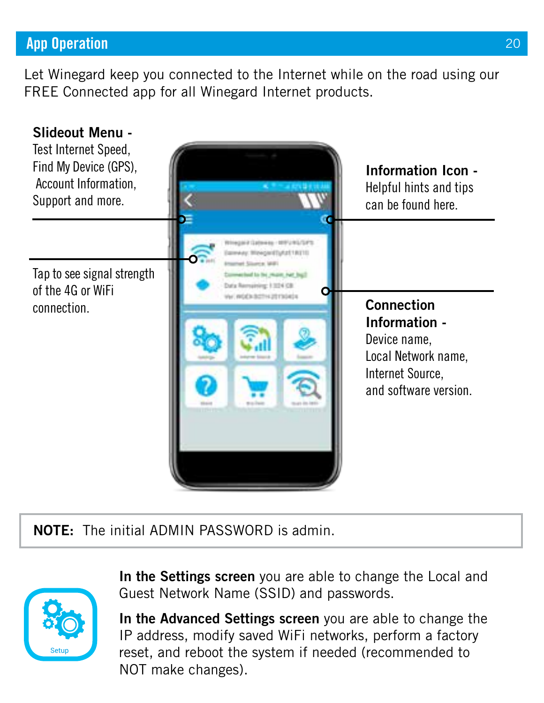# **App Operation**

Let Winegard keep you connected to the Internet while on the road using our FREE Connected app for all Winegard Internet products.



**NOTE:** The initial ADMIN PASSWORD is admin.



In the Settings screen you are able to change the Local and Guest Network Name (SSID) and passwords.

**In the Advanced Settings screen** you are able to change the IP address, modify saved WiFi networks, perform a factory reset, and reboot the system if needed (recommended to NOT make changes).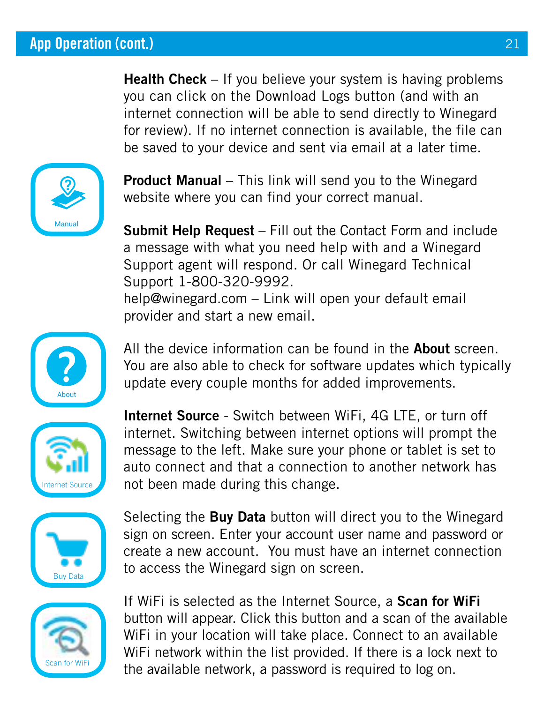Health Check - If you believe your system is having problems you can click on the Download Logs button (and with an internet connection will be able to send directly to Winegard for review). If no internet connection is available, the file can be saved to your device and sent via email at a later time.



**Product Manual** – This link will send you to the Winegard website where you can find your correct manual.

**Submit Help Request** – Fill out the Contact Form and include a message with what you need help with and a Winegard Support agent will respond. Or call Winegard Technical Support 1-800-320-9992. help@winegard.com – Link will open your default email provider and start a new email.



All the device information can be found in the **About** screen. You are also able to check for software updates which typically update every couple months for added improvements.



**Internet Source** - Switch between WiFi, 4G LTE, or turn off internet. Switching between internet options will prompt the message to the left. Make sure your phone or tablet is set to auto connect and that a connection to another network has  $\blacksquare$  Internet Source  $\blacksquare$  not been made during this change.



Selecting the **Buy Data** button will direct you to the Winegard sign on screen. Enter your account user name and password or create a new account. You must have an internet connection  $\frac{1}{\sqrt{2\pi}}$  to access the Winegard sign on screen.



If WiFi is selected as the Internet Source, a **Scan for WiFi** button will appear. Click this button and a scan of the available WiFi in your location will take place. Connect to an available WiFi network within the list provided. If there is a lock next to the available network, a password is required to log on.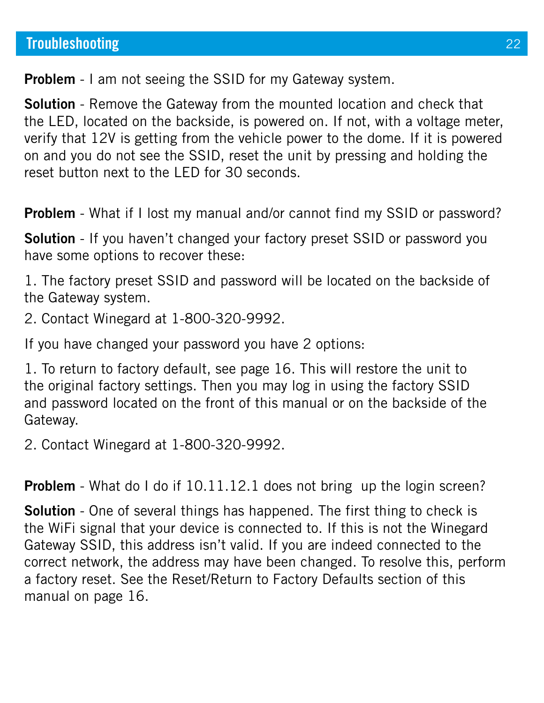**Problem** - I am not seeing the SSID for my Gateway system.

**Solution** - Remove the Gateway from the mounted location and check that the LED, located on the backside, is powered on. If not, with a voltage meter, verify that 12V is getting from the vehicle power to the dome. If it is powered on and you do not see the SSID, reset the unit by pressing and holding the reset button next to the LED for 30 seconds.

**Problem** - What if I lost my manual and/or cannot find my SSID or password?

**Solution** - If you haven't changed your factory preset SSID or password you have some options to recover these:

1. The factory preset SSID and password will be located on the backside of the Gateway system.

2. Contact Winegard at 1-800-320-9992.

If you have changed your password you have 2 options:

1. To return to factory default, see page 16. This will restore the unit to the original factory settings. Then you may log in using the factory SSID and password located on the front of this manual or on the backside of the Gateway.

2. Contact Winegard at 1-800-320-9992.

**Problem** - What do I do if 10.11.12.1 does not bring up the login screen?

**Solution** - One of several things has happened. The first thing to check is the WiFi signal that your device is connected to. If this is not the Winegard Gateway SSID, this address isn't valid. If you are indeed connected to the correct network, the address may have been changed. To resolve this, perform a factory reset. See the Reset/Return to Factory Defaults section of this manual on page 16.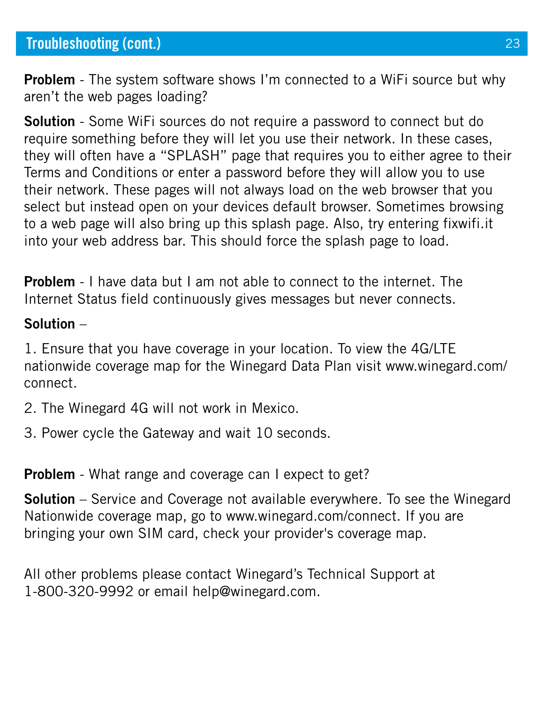**Problem** - The system software shows I'm connected to a WiFi source but why aren't the web pages loading?

**Solution** - Some WiFi sources do not require a password to connect but do require something before they will let you use their network. In these cases, they will often have a "SPLASH" page that requires you to either agree to their Terms and Conditions or enter a password before they will allow you to use their network. These pages will not always load on the web browser that you select but instead open on your devices default browser. Sometimes browsing to a web page will also bring up this splash page. Also, try entering fixwifi.it into your web address bar. This should force the splash page to load.

**Problem** - I have data but I am not able to connect to the internet. The Internet Status field continuously gives messages but never connects.

#### **Solution** –

1. Ensure that you have coverage in your location. To view the 4G/LTE nationwide coverage map for the Winegard Data Plan visit www.winegard.com/ connect.

2. The Winegard 4G will not work in Mexico.

3. Power cycle the Gateway and wait 10 seconds.

**Problem** - What range and coverage can I expect to get?

**Solution** – Service and Coverage not available everywhere. To see the Winegard Nationwide coverage map, go to www.winegard.com/connect. If you are bringing your own SIM card, check your provider's coverage map.

All other problems please contact Winegard's Technical Support at 1-800-320-9992 or email help@winegard.com.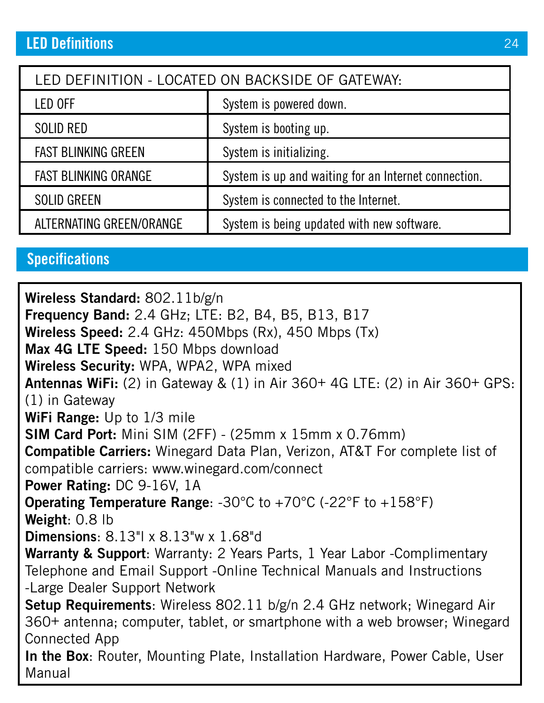| LED DEFINITION - LOCATED ON BACKSIDE OF GATEWAY: |                                                      |  |
|--------------------------------------------------|------------------------------------------------------|--|
| LED OFF                                          | System is powered down.                              |  |
| SOLID RED                                        | System is booting up.                                |  |
| <b>FAST BLINKING GREEN</b>                       | System is initializing.                              |  |
| <b>FAST BLINKING ORANGE</b>                      | System is up and waiting for an Internet connection. |  |
| <b>SOLID GREEN</b>                               | System is connected to the Internet.                 |  |
| ALTERNATING GREEN/ORANGE                         | System is being updated with new software.           |  |

# **Specifications**

**Wireless Standard:** 802.11b/g/n **Frequency Band:** 2.4 GHz; LTE: B2, B4, B5, B13, B17 **Wireless Speed:** 2.4 GHz: 450Mbps (Rx), 450 Mbps (Tx) **Max 4G LTE Speed:** 150 Mbps download **Wireless Security:** WPA, WPA2, WPA mixed **Antennas WiFi:** (2) in Gateway & (1) in Air 360+ 4G LTE: (2) in Air 360+ GPS: (1) in Gateway **WiFi Range:** Up to 1/3 mile **SIM Card Port:** Mini SIM (2FF) - (25mm x 15mm x 0.76mm) **Compatible Carriers:** Winegard Data Plan, Verizon, AT&T For complete list of compatible carriers: www.winegard.com/connect **Power Rating:** DC 9-16V, 1A **Operating Temperature Range**: -30°C to +70°C (-22°F to +158°F) **Weight**: 0.8 lb **Dimensions**: 8.13"l x 8.13"w x 1.68"d **Warranty & Support**: Warranty: 2 Years Parts, 1 Year Labor -Complimentary Telephone and Email Support -Online Technical Manuals and Instructions -Large Dealer Support Network **Setup Requirements**: Wireless 802.11 b/g/n 2.4 GHz network; Winegard Air 360+ antenna; computer, tablet, or smartphone with a web browser; Winegard Connected App **In the Box**: Router, Mounting Plate, Installation Hardware, Power Cable, User Manual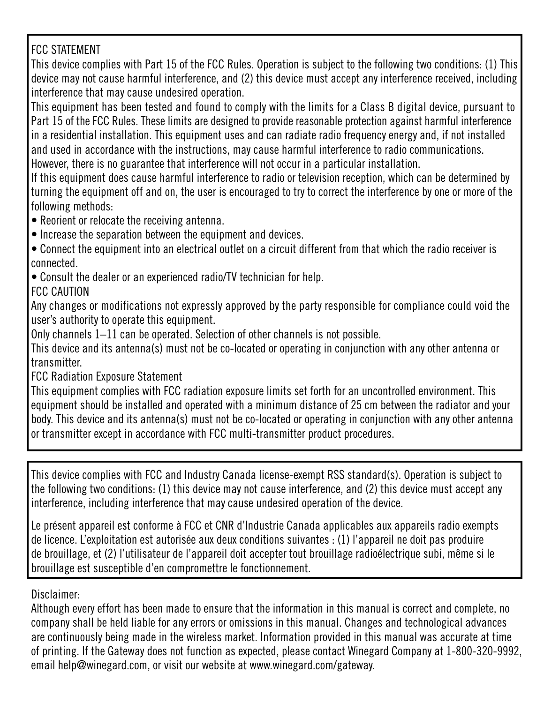#### FCC STATEMENT

This device complies with Part 15 of the FCC Rules. Operation is subject to the following two conditions: (1) This device may not cause harmful interference, and (2) this device must accept any interference received, including interference that may cause undesired operation.

This equipment has been tested and found to comply with the limits for a Class B digital device, pursuant to Part 15 of the FCC Rules. These limits are designed to provide reasonable protection against harmful interference in a residential installation. This equipment uses and can radiate radio frequency energy and, if not installed and used in accordance with the instructions, may cause harmful interference to radio communications. However, there is no guarantee that interference will not occur in a particular installation.

If this equipment does cause harmful interference to radio or television reception, which can be determined by turning the equipment off and on, the user is encouraged to try to correct the interference by one or more of the following methods:

- Reorient or relocate the receiving antenna.
- Increase the separation between the equipment and devices.
- Connect the equipment into an electrical outlet on a circuit different from that which the radio receiver is connected.
- Consult the dealer or an experienced radio/TV technician for help.
- FCC CAUTION

Any changes or modifications not expressly approved by the party responsible for compliance could void the user's authority to operate this equipment.

Only channels 1–11 can be operated. Selection of other channels is not possible.

This device and its antenna(s) must not be co-located or operating in conjunction with any other antenna or transmitter.

FCC Radiation Exposure Statement

This equipment complies with FCC radiation exposure limits set forth for an uncontrolled environment. This equipment should be installed and operated with a minimum distance of 25 cm between the radiator and your body. This device and its antenna(s) must not be co-located or operating in conjunction with any other antenna or transmitter except in accordance with FCC multi-transmitter product procedures.

This device complies with FCC and Industry Canada license-exempt RSS standard(s). Operation is subject to the following two conditions: (1) this device may not cause interference, and (2) this device must accept any interference, including interference that may cause undesired operation of the device.

Le présent appareil est conforme à FCC et CNR d'Industrie Canada applicables aux appareils radio exempts de licence. L'exploitation est autorisée aux deux conditions suivantes : (1) l'appareil ne doit pas produire de brouillage, et (2) l'utilisateur de l'appareil doit accepter tout brouillage radioélectrique subi, même si le brouillage est susceptible d'en compromettre le fonctionnement.

Disclaimer:

Although every effort has been made to ensure that the information in this manual is correct and complete, no company shall be held liable for any errors or omissions in this manual. Changes and technological advances are continuously being made in the wireless market. Information provided in this manual was accurate at time of printing. If the Gateway does not function as expected, please contact Winegard Company at 1-800-320-9992, email help@winegard.com, or visit our website at www.winegard.com/gateway.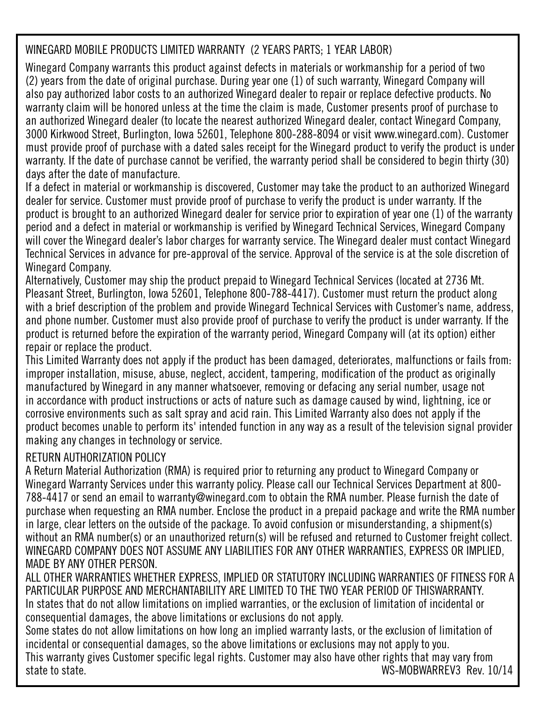#### WINEGARD MOBILE PRODUCTS LIMITED WARRANTY (2 YEARS PARTS: 1 YEAR LABOR)

Winegard Company warrants this product against defects in materials or workmanship for a period of two (2) years from the date of original purchase. During year one (1) of such warranty, Winegard Company will also pay authorized labor costs to an authorized Winegard dealer to repair or replace defective products. No warranty claim will be honored unless at the time the claim is made, Customer presents proof of purchase to an authorized Winegard dealer (to locate the nearest authorized Winegard dealer, contact Winegard Company, 3000 Kirkwood Street, Burlington, Iowa 52601, Telephone 800-288-8094 or visit www.winegard.com). Customer must provide proof of purchase with a dated sales receipt for the Winegard product to verify the product is under warranty. If the date of purchase cannot be verified, the warranty period shall be considered to begin thirty (30) days after the date of manufacture.

If a defect in material or workmanship is discovered, Customer may take the product to an authorized Winegard dealer for service. Customer must provide proof of purchase to verify the product is under warranty. If the product is brought to an authorized Winegard dealer for service prior to expiration of year one (1) of the warranty period and a defect in material or workmanship is verified by Winegard Technical Services, Winegard Company will cover the Winegard dealer's labor charges for warranty service. The Winegard dealer must contact Winegard Technical Services in advance for pre-approval of the service. Approval of the service is at the sole discretion of Winegard Company.

Alternatively, Customer may ship the product prepaid to Winegard Technical Services (located at 2736 Mt. Pleasant Street, Burlington, Iowa 52601, Telephone 800-788-4417). Customer must return the product along with a brief description of the problem and provide Winegard Technical Services with Customer's name, address, and phone number. Customer must also provide proof of purchase to verify the product is under warranty. If the product is returned before the expiration of the warranty period, Winegard Company will (at its option) either repair or replace the product.

This Limited Warranty does not apply if the product has been damaged, deteriorates, malfunctions or fails from: improper installation, misuse, abuse, neglect, accident, tampering, modification of the product as originally manufactured by Winegard in any manner whatsoever, removing or defacing any serial number, usage not in accordance with product instructions or acts of nature such as damage caused by wind, lightning, ice or corrosive environments such as salt spray and acid rain. This Limited Warranty also does not apply if the product becomes unable to perform its' intended function in any way as a result of the television signal provider making any changes in technology or service.

#### RETURN AUTHORIZATION POLICY

A Return Material Authorization (RMA) is required prior to returning any product to Winegard Company or Winegard Warranty Services under this warranty policy. Please call our Technical Services Department at 800- 788-4417 or send an email to warranty@winegard.com to obtain the RMA number. Please furnish the date of purchase when requesting an RMA number. Enclose the product in a prepaid package and write the RMA number in large, clear letters on the outside of the package. To avoid confusion or misunderstanding, a shipment(s) without an RMA number(s) or an unauthorized return(s) will be refused and returned to Customer freight collect. WINEGARD COMPANY DOES NOT ASSUME ANY LIABILITIES FOR ANY OTHER WARRANTIES, EXPRESS OR IMPLIED, MADE BY ANY OTHER PERSON.

ALL OTHER WARRANTIES WHETHER EXPRESS, IMPLIED OR STATUTORY INCLUDING WARRANTIES OF FITNESS FOR A PARTICULAR PURPOSE AND MERCHANTABILITY ARE LIMITED TO THE TWO YEAR PERIOD OF THISWARRANTY. In states that do not allow limitations on implied warranties, or the exclusion of limitation of incidental or consequential damages, the above limitations or exclusions do not apply.

Some states do not allow limitations on how long an implied warranty lasts, or the exclusion of limitation of incidental or consequential damages, so the above limitations or exclusions may not apply to you. This warranty gives Customer specific legal rights. Customer may also have other rights that may vary from<br>1 ms. MORWARREV3 Rev WS-MOBWARREV3 Rev. 10/14